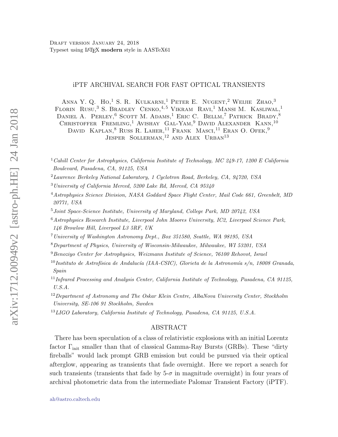## iPTF ARCHIVAL SEARCH FOR FAST OPTICAL TRANSIENTS

ANNA Y. Q. HO,<sup>1</sup> S. R. KULKARNI,<sup>1</sup> PETER E. NUGENT,<sup>2</sup> WEIJIE ZHAO,<sup>3</sup> FLORIN RUSU,<sup>3</sup> S. BRADLEY CENKO,<sup>4,5</sup> VIKRAM RAVI,<sup>1</sup> MANSI M. KASLIWAL,<sup>1</sup> DANIEL A. PERLEY,<sup>6</sup> SCOTT M. ADAMS,<sup>1</sup> ERIC C. BELLM,<sup>7</sup> PATRICK BRADY,<sup>8</sup> CHRISTOFFER FREMLING,<sup>1</sup> AVISHAY GAL-YAM,<sup>9</sup> DAVID ALEXANDER KANN,<sup>10</sup> DAVID KAPLAN,<sup>8</sup> Russ R. LAHER,<sup>11</sup> Frank Masci,<sup>11</sup> Eran O. Ofek,<sup>9</sup> JESPER SOLLERMAN,<sup>12</sup> AND ALEX URBAN<sup>13</sup>

<sup>1</sup> Cahill Center for Astrophysics, California Institute of Technology, MC 249-17, 1200 E California Boulevard, Pasadena, CA, 91125, USA

<sup>2</sup>Lawrence Berkeley National Laboratory, 1 Cyclotron Road, Berkeley, CA, 94720, USA

- $3$ University of California Merced, 5200 Lake Rd, Merced, CA 95340
- <sup>4</sup>Astrophysics Science Division, NASA Goddard Space Flight Center, Mail Code 661, Greenbelt, MD 20771, USA
- <sup>5</sup>Joint Space-Science Institute, University of Maryland, College Park, MD 20742, USA
- $6$ Astrophysics Research Institute, Liverpool John Moores University, IC2, Liverpool Science Park, 146 Browlow Hill, Liverpool L3 5RF, UK
- <sup>7</sup>University of Washington Astronomy Dept., Box 351580, Seattle, WA 98195, USA
- <sup>8</sup>Department of Physics, University of Wisconsin-Milwaukee, Milwaukee, WI 53201, USA
- <sup>9</sup> Benoziyo Center for Astrophysics, Weizmann Institute of Science, 76100 Rehovot, Israel
- $^{10}$ Instituto de Astrofísica de Andalucía (IAA-CSIC), Glorieta de la Astronomía s/n, 18008 Granada, Spain
- $11$ Infrared Processing and Analysis Center, California Institute of Technology, Pasadena, CA 91125, U.S.A.
- <sup>12</sup>Department of Astronomy and The Oskar Klein Centre, AlbaNova University Center, Stockholm University, SE-106 91 Stockholm, Sweden
- <sup>13</sup>LIGO Laboratory, California Institute of Technology, Pasadena, CA 91125, U.S.A.

#### ABSTRACT

There has been speculation of a class of relativistic explosions with an initial Lorentz factor  $\Gamma_{\text{init}}$  smaller than that of classical Gamma-Ray Bursts (GRBs). These "dirty fireballs" would lack prompt GRB emission but could be pursued via their optical afterglow, appearing as transients that fade overnight. Here we report a search for such transients (transients that fade by  $5-\sigma$  in magnitude overnight) in four years of archival photometric data from the intermediate Palomar Transient Factory (iPTF).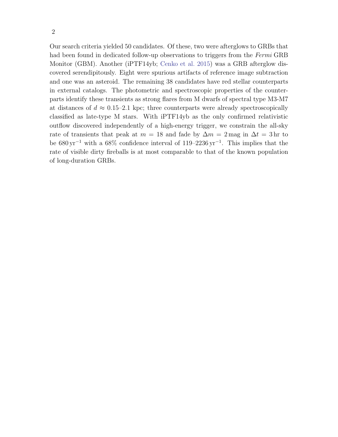Our search criteria yielded 50 candidates. Of these, two were afterglows to GRBs that had been found in dedicated follow-up observations to triggers from the Fermi GRB Monitor (GBM). Another (iPTF14yb; Cenko et al. 2015) was a GRB afterglow discovered serendipitously. Eight were spurious artifacts of reference image subtraction and one was an asteroid. The remaining 38 candidates have red stellar counterparts in external catalogs. The photometric and spectroscopic properties of the counterparts identify these transients as strong flares from M dwarfs of spectral type M3-M7 at distances of  $d \approx 0.15{\text -}2.1$  kpc; three counterparts were already spectroscopically classified as late-type M stars. With iPTF14yb as the only confirmed relativistic outflow discovered independently of a high-energy trigger, we constrain the all-sky rate of transients that peak at  $m = 18$  and fade by  $\Delta m = 2 \text{ mag in } \Delta t = 3 \text{ hr}$  to be  $680 \,\text{yr}^{-1}$  with a  $68\%$  confidence interval of  $119-2236 \,\text{yr}^{-1}$ . This implies that the rate of visible dirty fireballs is at most comparable to that of the known population of long-duration GRBs.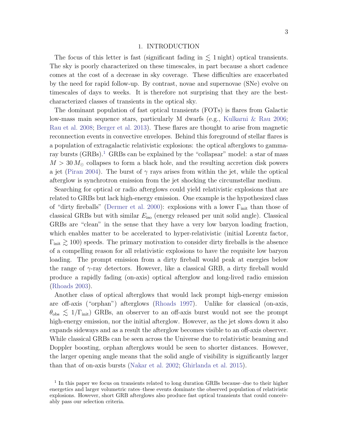#### 1. INTRODUCTION

The focus of this letter is fast (significant fading in  $\lesssim$  1 night) optical transients. The sky is poorly characterized on these timescales, in part because a short cadence comes at the cost of a decrease in sky coverage. These difficulties are exacerbated by the need for rapid follow-up. By contrast, novae and supernovae (SNe) evolve on timescales of days to weeks. It is therefore not surprising that they are the bestcharacterized classes of transients in the optical sky.

The dominant population of fast optical transients (FOTs) is flares from Galactic low-mass main sequence stars, particularly M dwarfs (e.g., Kulkarni & Rau 2006; Rau et al. 2008; Berger et al. 2013). These flares are thought to arise from magnetic reconnection events in convective envelopes. Behind this foreground of stellar flares is a population of extragalactic relativistic explosions: the optical afterglows to gammaray bursts (GRBs).<sup>1</sup> GRBs can be explained by the "collapsar" model: a star of mass  $M > 30 M_{\odot}$  collapses to form a black hole, and the resulting accretion disk powers a jet (Piran 2004). The burst of  $\gamma$  rays arises from within the jet, while the optical afterglow is synchrotron emission from the jet shocking the circumstellar medium.

Searching for optical or radio afterglows could yield relativistic explosions that are related to GRBs but lack high-energy emission. One example is the hypothesized class of "dirty fireballs" (Dermer et al. 2000): explosions with a lower  $\Gamma_{\text{init}}$  than those of classical GRBs but with similar  $E_{\text{iso}}$  (energy released per unit solid angle). Classical GRBs are "clean" in the sense that they have a very low baryon loading fraction, which enables matter to be accelerated to hyper-relativistic (initial Lorentz factor,  $\Gamma_{\text{init}} \gtrsim 100$ ) speeds. The primary motivation to consider dirty fireballs is the absence of a compelling reason for all relativistic explosions to have the requisite low baryon loading. The prompt emission from a dirty fireball would peak at energies below the range of  $\gamma$ -ray detectors. However, like a classical GRB, a dirty fireball would produce a rapidly fading (on-axis) optical afterglow and long-lived radio emission (Rhoads 2003).

Another class of optical afterglows that would lack prompt high-energy emission are off-axis ("orphan") afterglows (Rhoads 1997). Unlike for classical (on-axis,  $\theta_{\rm obs} \lesssim 1/\Gamma_{\rm init}$ ) GRBs, an observer to an off-axis burst would not see the prompt high-energy emission, nor the initial afterglow. However, as the jet slows down it also expands sideways and as a result the afterglow becomes visible to an off-axis observer. While classical GRBs can be seen across the Universe due to relativistic beaming and Doppler boosting, orphan afterglows would be seen to shorter distances. However, the larger opening angle means that the solid angle of visibility is significantly larger than that of on-axis bursts (Nakar et al. 2002; Ghirlanda et al. 2015).

<sup>&</sup>lt;sup>1</sup> In this paper we focus on transients related to long duration GRBs because–due to their higher energetics and larger volumetric rates–these events dominate the observed population of relativistic explosions. However, short GRB afterglows also produce fast optical transients that could conceivably pass our selection criteria.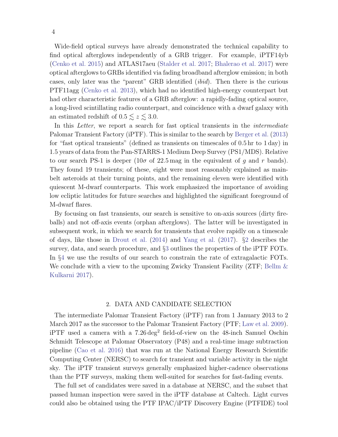Wide-field optical surveys have already demonstrated the technical capability to find optical afterglows independently of a GRB trigger. For example, iPTF14yb (Cenko et al. 2015) and ATLAS17aeu (Stalder et al. 2017; Bhalerao et al. 2017) were optical afterglows to GRBs identified via fading broadband afterglow emission; in both cases, only later was the "parent" GRB identified (ibid). Then there is the curious PTF11agg (Cenko et al. 2013), which had no identified high-energy counterpart but had other characteristic features of a GRB afterglow: a rapidly-fading optical source, a long-lived scintillating radio counterpart, and coincidence with a dwarf galaxy with an estimated redshift of  $0.5 \lesssim z \lesssim 3.0$ .

In this Letter, we report a search for fast optical transients in the *intermediate* Palomar Transient Factory (iPTF). This is similar to the search by Berger et al. (2013) for "fast optical transients" (defined as transients on timescales of 0.5 hr to 1 day) in 1.5 years of data from the Pan-STARRS-1 Medium Deep Survey (PS1/MDS). Relative to our search PS-1 is deeper  $(10\sigma \text{ of } 22.5 \text{ mag in the equivalent of } g \text{ and } r \text{ bands}).$ They found 19 transients; of these, eight were most reasonably explained as mainbelt asteroids at their turning points, and the remaining eleven were identified with quiescent M-dwarf counterparts. This work emphasized the importance of avoiding low ecliptic latitudes for future searches and highlighted the significant foreground of M-dwarf flares.

By focusing on fast transients, our search is sensitive to on-axis sources (dirty fireballs) and not off-axis events (orphan afterglows). The latter will be investigated in subsequent work, in which we search for transients that evolve rapidly on a timescale of days, like those in Drout et al. (2014) and Yang et al. (2017). §2 describes the survey, data, and search procedure, and §3 outlines the properties of the iPTF FOTs. In §4 we use the results of our search to constrain the rate of extragalactic FOTs. We conclude with a view to the upcoming Zwicky Transient Facility (ZTF; Bellm  $\&$ Kulkarni 2017).

#### 2. DATA AND CANDIDATE SELECTION

The intermediate Palomar Transient Factory (iPTF) ran from 1 January 2013 to 2 March 2017 as the successor to the Palomar Transient Factory (PTF; Law et al. 2009). iPTF used a camera with a  $7.26 \text{ deg}^2$  field-of-view on the 48-inch Samuel Oschin Schmidt Telescope at Palomar Observatory (P48) and a real-time image subtraction pipeline (Cao et al. 2016) that was run at the National Energy Research Scientific Computing Center (NERSC) to search for transient and variable activity in the night sky. The iPTF transient surveys generally emphasized higher-cadence observations than the PTF surveys, making them well-suited for searches for fast-fading events.

The full set of candidates were saved in a database at NERSC, and the subset that passed human inspection were saved in the iPTF database at Caltech. Light curves could also be obtained using the PTF IPAC/iPTF Discovery Engine (PTFIDE) tool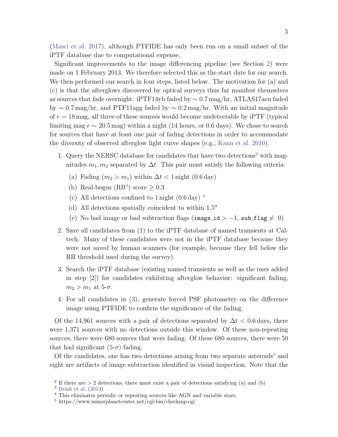(Masci et al. 2017), although PTFIDE has only been run on a small subset of the iPTF database due to computational expense.

Significant improvements to the image differencing pipeline (see Section 2) were made on 1 February 2013. We therefore selected this as the start date for our search. We then performed our search in four steps, listed below. The motivation for (a) and (c) is that the afterglows discovered by optical surveys thus far manifest themselves as sources that fade overnight: iPTF14yb faded by ∼ 0.7 mag/hr, ATLAS17aeu faded by  $\sim 0.7 \,\text{mag/hr}$ , and PTF11agg faded by  $\sim 0.2 \,\text{mag/hr}$ . With an initial magnitude of  $r = 18$  mag, all three of these sources would become undetectable by iPTF (typical limiting mag  $r \sim 20.5$  mag) within a night (14 hours, or 0.6 days). We chose to search for sources that have at least one pair of fading detections in order to accommodate the diversity of observed afterglow light curve shapes (e.g., Kann et al. 2010).

- 1. Query the NERSC database for candidates that have two detections<sup>2</sup> with magnitudes  $m_1, m_2$  separated by  $\Delta t$ . This pair must satisfy the following criteria:
	- (a) Fading  $(m_2 > m_1)$  within  $\Delta t < 1$  night  $(0.6 \text{ day})$
	- (b) Real-bogus (RB<sup>3</sup>) score  $\geq 0.3$
	- (c) All detections confined to  $1$  night  $(0.6 \text{ day})$ <sup>4</sup>
	- (d) All detections spatially coincident to within  $1.5$ <sup>n</sup>
	- (e) No bad image or bad subtraction flags (image\_id > -1, sub\_flag  $\neq$  0)
- 2. Save all candidates from (1) to the iPTF database of named transients at Caltech. Many of these candidates were not in the iPTF database because they were not saved by human scanners (for example, because they fell below the RB threshold used during the survey).
- 3. Search the iPTF database (existing named transients as well as the ones added in step [2]) for candidates exhibiting afterglow behavior: significant fading,  $m_2 > m_1$  at 5- $\sigma$ .
- 4. For all candidates in (3), generate forced PSF photometry on the difference image using PTFIDE to confirm the significance of the fading.

Of the 14,961 sources with a pair of detections separated by  $\Delta t < 0.6$  days, there were 1,371 sources with no detections outside this window. Of these non-repeating sources, there were 680 sources that were fading. Of these 680 sources, there were 50 that had significant  $(5-\sigma)$  fading.

Of the candidates, one has two detections arising from two separate asteroids<sup>5</sup> and eight are artifacts of image subtraction identified in visual inspection. Note that the

<sup>&</sup>lt;sup>2</sup> If there are  $> 2$  detections, there must exist a pair of detections satisfying (a) and (b)

<sup>3</sup> Brink et al. (2013)

<sup>&</sup>lt;sup>4</sup> This eliminates periodic or repeating sources like AGN and variable stars.

<sup>5</sup> https://www.minorplanetcenter.net/cgi-bin/checkmp.cgi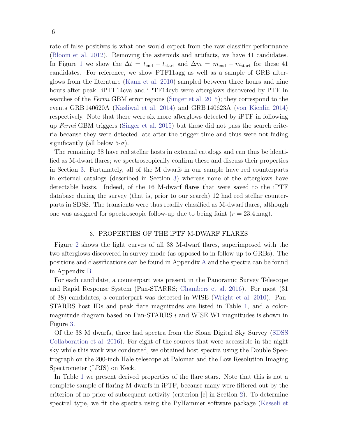rate of false positives is what one would expect from the raw classifier performance (Bloom et al. 2012). Removing the asteroids and artifacts, we have 41 candidates. In Figure 1 we show the  $\Delta t = t_{\text{end}} - t_{\text{start}}$  and  $\Delta m = m_{\text{end}} - m_{\text{start}}$  for these 41 candidates. For reference, we show PTF11agg as well as a sample of GRB afterglows from the literature (Kann et al. 2010) sampled between three hours and nine hours after peak. iPTF14cva and iPTF14cyb were afterglows discovered by PTF in searches of the Fermi GBM error regions (Singer et al. 2015); they correspond to the events GRB 140620A (Kasliwal et al. 2014) and GRB 140623A (von Kienlin 2014) respectively. Note that there were six more afterglows detected by iPTF in following up Fermi GBM triggers (Singer et al. 2015) but these did not pass the search criteria because they were detected late after the trigger time and thus were not fading significantly (all below  $5-\sigma$ ).

The remaining 38 have red stellar hosts in external catalogs and can thus be identified as M-dwarf flares; we spectroscopically confirm these and discuss their properties in Section 3. Fortunately, all of the M dwarfs in our sample have red counterparts in external catalogs (described in Section 3) whereas none of the afterglows have detectable hosts. Indeed, of the 16 M-dwarf flares that were saved to the iPTF database during the survey (that is, prior to our search) 12 had red stellar counterparts in SDSS. The transients were thus readily classified as M-dwarf flares, although one was assigned for spectroscopic follow-up due to being faint  $(r = 23.4 \,\text{mag})$ .

## 3. PROPERTIES OF THE iPTF M-DWARF FLARES

Figure 2 shows the light curves of all 38 M-dwarf flares, superimposed with the two afterglows discovered in survey mode (as opposed to in follow-up to GRBs). The positions and classifications can be found in Appendix A and the spectra can be found in Appendix B.

For each candidate, a counterpart was present in the Panoramic Survey Telescope and Rapid Response System (Pan-STARRS; Chambers et al. 2016). For most (31 of 38) candidates, a counterpart was detected in WISE (Wright et al. 2010). Pan-STARRS host IDs and peak flare magnitudes are listed in Table 1, and a colormagnitude diagram based on Pan-STARRS  $i$  and WISE W1 magnitudes is shown in Figure 3.

Of the 38 M dwarfs, three had spectra from the Sloan Digital Sky Survey (SDSS Collaboration et al. 2016). For eight of the sources that were accessible in the night sky while this work was conducted, we obtained host spectra using the Double Spectrograph on the 200-inch Hale telescope at Palomar and the Low Resolution Imaging Spectrometer (LRIS) on Keck.

In Table 1 we present derived properties of the flare stars. Note that this is not a complete sample of flaring M dwarfs in iPTF, because many were filtered out by the criterion of no prior of subsequent activity (criterion [c] in Section 2). To determine spectral type, we fit the spectra using the PyHammer software package (Kesseli et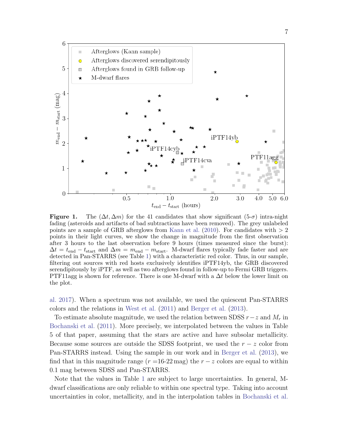

**Figure 1.** The  $(\Delta t, \Delta m)$  for the 41 candidates that show significant  $(5\text{-}\sigma)$  intra-night fading (asteroids and artifacts of bad subtractions have been removed). The grey unlabeled points are a sample of GRB afterglows from Kann et al. (2010). For candidates with  $> 2$ points in their light curves, we show the change in magnitude from the first observation after 3 hours to the last observation before 9 hours (times measured since the burst):  $\Delta t = t_{\text{end}} - t_{\text{start}}$  and  $\Delta m = m_{\text{end}} - m_{\text{start}}$ . M-dwarf flares typically fade faster and are detected in Pan-STARRS (see Table 1) with a characteristic red color. Thus, in our sample, filtering out sources with red hosts exclusively identifies iPTF14yb, the GRB discovered serendipitously by iPTF, as well as two afterglows found in follow-up to Fermi GRB triggers. PTF11agg is shown for reference. There is one M-dwarf with a  $\Delta t$  below the lower limit on the plot.

al. 2017). When a spectrum was not available, we used the quiescent Pan-STARRS colors and the relations in West et al. (2011) and Berger et al. (2013).

To estimate absolute magnitude, we used the relation between SDSS  $r-z$  and  $M_r$  in Bochanski et al. (2011). More precisely, we interpolated between the values in Table 5 of that paper, assuming that the stars are active and have subsolar metallicity. Because some sources are outside the SDSS footprint, we used the  $r - z$  color from Pan-STARRS instead. Using the sample in our work and in Berger et al. (2013), we find that in this magnitude range ( $r = 16-22$  mag) the  $r - z$  colors are equal to within 0.1 mag between SDSS and Pan-STARRS.

Note that the values in Table 1 are subject to large uncertainties. In general, Mdwarf classifications are only reliable to within one spectral type. Taking into account uncertainties in color, metallicity, and in the interpolation tables in Bochanski et al.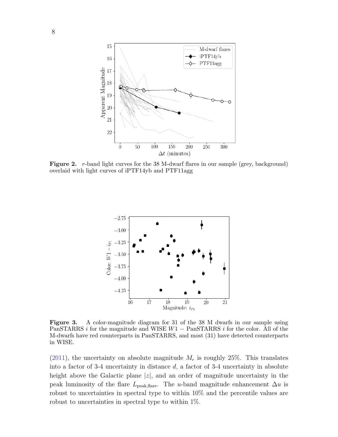

Figure 2. r-band light curves for the 38 M-dwarf flares in our sample (grey, background) overlaid with light curves of iPTF14yb and PTF11agg



Figure 3. A color-magnitude diagram for 31 of the 38 M dwarfs in our sample using PanSTARRS i for the magnitude and WISE  $W1 - \text{PanSTARRS}$  i for the color. All of the M-dwarfs have red counterparts in PanSTARRS, and most (31) have detected counterparts in WISE.

 $(2011)$ , the uncertainty on absolute magnitude  $M_r$  is roughly 25%. This translates into a factor of 3-4 uncertainty in distance d, a factor of 3-4 uncertainty in absolute height above the Galactic plane  $|z|$ , and an order of magnitude uncertainty in the peak luminosity of the flare L<sub>peak,flare</sub>. The u-band magnitude enhancement  $\Delta u$  is robust to uncertainties in spectral type to within 10% and the percentile values are robust to uncertainties in spectral type to within 1%.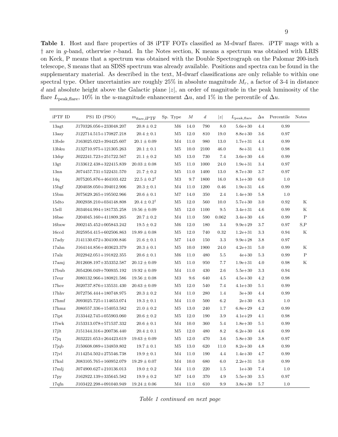Table 1. Host and flare properties of 38 iPTF FOTs classified as M-dwarf flares. iPTF mags with a † are in g-band, otherwise r-band. In the Notes section, K means a spectrum was obtained with LRIS on Keck, P means that a spectrum was obtained with the Double Spectrograph on the Palomar 200-inch telescope, S means that an SDSS spectrum was already available. Positions and spectra can be found in the supplementary material. As described in the text, M-dwarf classifications are only reliable to within one spectral type. Other uncertainties are roughly  $25\%$  in absolute magnitude  $M_r$ , a factor of 3-4 in distance d and absolute height above the Galactic plane  $|z|$ , an order of magnitude in the peak luminosity of the flare  $L_{\text{peak,flare}}$ , 10% in the u-magnitude enhancement  $\Delta u$ , and 1% in the percentile of  $\Delta u$ .

| iPTF ID           | PS1 ID (PSO)           | $m_{\rm flare,iPTF}$     | Sp. Type       | М        | $\boldsymbol{d}$ | z       | $L_{\rm peak, flare}$ | $\Delta u$ | Percentile | <b>Notes</b> |
|-------------------|------------------------|--------------------------|----------------|----------|------------------|---------|-----------------------|------------|------------|--------------|
| 13agt             | J170326.056+233048.207 | $20.8 \pm 0.2$           | M6             | 14.0     | 790              | 8.0     | $5.6e + 30$           | 4.4        | 0.99       |              |
| 13asy             | J122714.515+170827.218 | $20.4 \pm 0.1$           | M <sub>5</sub> | 12.0     | 810              | 19.0    | $8.8e + 30$           | 3.6        | 0.97       |              |
| 13bde             | J163025.023+394425.607 | $20.1 \pm 0.09$          | M <sub>4</sub> | 11.0     | 980              | 13.0    | $1.7e + 31$           | 4.4        | 0.99       |              |
| 13bku             | J132710.975+121305.263 | $20.1 \pm 0.1$           | M <sub>5</sub> | 10.0     | 2100             | 46.0    | $8e + 31$             | 4.1        | 0.98       |              |
| 13 <sub>dr</sub>  | J022241.723+251722.567 | $21.1 \pm 0.2$           | M <sub>5</sub> | 13.0     | 730              | 7.4     | $3.6e + 30$           | 4.6        | 0.99       |              |
| 13gt              | J133612.438+322415.839 | $20.03 \pm 0.08$         | M <sub>5</sub> | 11.0     | 1000             | 24.0    | $1.9e + 31$           | 3.4        | 0.97       |              |
| 13nn              | J074457.731+522431.570 | $21.7 \pm 0.2$           | M5             | 11.0     | 1400             | 13.0    | $8.7e + 30$           | 3.7        | 0.97       |              |
| 14q               | J075205.876+464103.422 | $22.5 \pm 0.2^{\dagger}$ | M3             | 9.7      | 1800             | 16.0    | $8.1e + 30$           | 6.0        | 1.0        |              |
| $15\rm{bgf}$      | J204038.050+394012.906 | $20.3 \pm 0.1$           | M <sub>4</sub> | 11.0     | 1200             | 0.46    | $1.9e + 31$           | 4.6        | 0.99       |              |
| 15 <sub>bm</sub>  | J075629.265+195502.966 | $20.6 \pm 0.1$           | M7             | 14.0     | 350              | 2.4     | $1.4e + 30$           | 5.8        | 1.0        |              |
| $15d$ to          | J002938.210+034148.808 | $20.4 \pm 0.2^{\dagger}$ | M5             | 12.0     | 560              | 10.0    | $5.7e + 30$           | 3.0        | 0.92       | Κ            |
| 15ell             | J034044.994+181735.258 | $19.56 \pm 0.09$         | M5             | 12.0     | 1100             | 9.5     | $3.4e + 31$           | 4.6        | 0.99       | K            |
| 16bse             | J204045.160+411809.265 | $20.7 \pm 0.2$           | M <sub>4</sub> | 11.0     | 590              | 0.062   | $3.4e + 30$           | 4.6        | 0.99       | $\mathbf P$  |
| $16b$ xw          | J002145.452+005843.242 | $19.5 \pm 0.2$           | M6             | 12.0     | 180              | 3.4     | $9.9e + 29$           | 3.7        | 0.97       | S, P         |
| 16 <sub>ccd</sub> | J025954.415+602506.863 | $19.89 \pm 0.08$         | M <sub>5</sub> | 12.0     | 740              | 0.32    | $1.2e + 31$           | 3.3        | 0.94       | Κ            |
| 17ady             | J141130.672+304100.846 | $21.6 \pm 0.1$           | M7             | 14.0     | 150              | 3.3     | $9.9e + 28$           | 3.8        | 0.97       |              |
| 17ahn             | J164144.856+403623.379 | $20.3 \pm 0.1$           | M <sub>5</sub> | 10.0     | 1900             | 24.0    | $4.2e + 31$           | 5.0        | 0.99       | K            |
| $17a$ lz          | J022942.051+191822.355 | $20.6 \pm 0.1$           | M6             | 11.0     | 480              | 5.5     | $4e + 30$             | 5.3        | 0.99       | $\mathbf P$  |
| 17amj             | J012608.197+353352.587 | $20.12 \pm 0.09$         | M <sub>5</sub> | 11.0     | 950              | 7.7     | $1.9e + 31$           | 4.0        | 0.98       | K            |
| 17bub             | J054206.049+700935.192 | $19.92 \pm 0.09$         | M4             | 11.0     | 430              | 2.6     | $5.5e + 30$           | 3.3        | 0.94       |              |
| 17eur             | J080132.966+180821.586 | $19.56 \pm 0.08$         | M <sub>3</sub> | 9.6      | 640              | 4.5     | $4.5e + 30$           | 4.2        | 0.98       |              |
| 17hce             | J020737.876+135531.430 | $20.63 \pm 0.09$         | M5             | 12.0     | 540              | 7.4     | $4.1e + 30$           | 5.1        | 0.99       |              |
| $17$ hhv          | J072756.444+180748.975 | $20.3 \pm 0.2$           | M <sub>4</sub> | $11.0\,$ | 280              | 1.4     | $3e + 30$             | 4.4        | 0.99       |              |
| 17hmf             | J093025.725+114653.074 | $19.3 \pm 0.1$           | M <sub>4</sub> | 11.0     | 500              | 6.2     | $2e + 30$             | 6.3        | 1.0        |              |
| $17h$ mz          | J080557.336+154053.582 | $21.0 \pm 0.2$           | M <sub>5</sub> | 13.0     | 240              | 1.7     | $6.8e + 29$           | 4.2        | 0.99       |              |
| 17ipt             | J133442.745+055903.060 | $20.6 \pm 0.2$           | M <sub>5</sub> | 12.0     | 190              | 3.9     | $4.1e + 29$           | 4.1        | 0.98       |              |
| 17iwk             | J153313.078+571537.332 | $20.6 \pm 0.1$           | M <sub>4</sub> | 10.0     | 360              | 5.4     | $1.8e + 30$           | 5.1        | 0.99       |              |
| $17$ jlt          | J151344.316+200736.440 | $20.4 \pm 0.1$           | M <sub>5</sub> | 12.0     | 480              | 8.2     | $6.2e + 30$           | 4.6        | 0.99       |              |
| 17jq              | J032221.653+264423.619 | $19.63 \pm 0.09$         | M <sub>5</sub> | 12.0     | 470              | 3.6     | $5.8e + 30$           | 3.8        | 0.97       |              |
| $17$ jqb          | J150608.089+134859.802 | $19.7 \pm 0.1$           | M <sub>5</sub> | 13.0     | 620              | 11.0    | $8.2e + 30$           | 4.8        | 0.99       |              |
| 17jvl             | J114254.502+275546.738 | $19.9 \pm 0.1$           | M <sub>4</sub> | 11.0     | 190              | 4.4     | $1.4e + 30$           | 4.7        | 0.99       |              |
| $17$ knl          | J083105.765+160952.079 | $19.29 \pm 0.07$         | M4             | 10.0     | 680              | 6.0     | $2.2e + 31$           | 5.0        | 0.99       |              |
| 17mlj             | J074900.627+210136.013 | $19.0 \pm 0.2$           | M4             | 11.0     | 220              | $1.5\,$ | $1e + 30$             | 7.4        | 1.0        |              |
| 17 <sub>py</sub>  | J162922.139+335645.582 | $19.9 \pm 0.2$           | M7             | 14.0     | 370              | 4.9     | $5.5e + 30$           | 3.5        | 0.97       |              |
| 17qfn             | J103422.298+091040.949 | $19.24 \pm 0.06$         | M4             | 11.0     | 610              | 9.9     | $3.8e + 30$           | 5.7        | 1.0        |              |

Table 1 continued on next page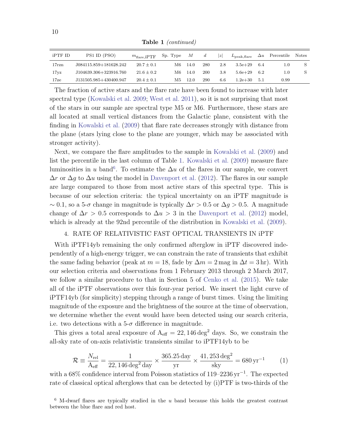Table 1 (continued)

| iPTF ID           | PS1 ID (PSO)           | $m_{\text{flare}}$ iPTF | Sp. Type | M    | d   | z   | $L_{\rm peak, flare}$ | $\Delta u$ | Percentile | <b>Notes</b> |
|-------------------|------------------------|-------------------------|----------|------|-----|-----|-----------------------|------------|------------|--------------|
| $17 \mathrm{rzn}$ | J084115.859+181628.242 | $20.7 \pm 0.1$          | M6.      | 14.0 | 280 | 2.8 | $3.5e + 29$           | 6.4        | $1.0\,$    |              |
| 17yz              | J104639.306+323916.760 | $21.6 \pm 0.2$          | M6.      | 14.0 | 200 | 3.8 | $5.6e + 29$           | 6.2        | 1.0        |              |
| $17$ ze           | J131505.985+430400.947 | $20.4 \pm 0.1$          | М5       | 12.0 | 290 | 6.6 | $1.2e + 30$           | 5.1        | 0.99       |              |

The fraction of active stars and the flare rate have been found to increase with later spectral type (Kowalski et al. 2009; West et al. 2011), so it is not surprising that most of the stars in our sample are spectral type M5 or M6. Furthermore, these stars are all located at small vertical distances from the Galactic plane, consistent with the finding in Kowalski et al. (2009) that flare rate decreases strongly with distance from the plane (stars lying close to the plane are younger, which may be associated with stronger activity).

Next, we compare the flare amplitudes to the sample in Kowalski et al. (2009) and list the percentile in the last column of Table 1. Kowalski et al. (2009) measure flare luminosities in u band<sup>6</sup>. To estimate the  $\Delta u$  of the flares in our sample, we convert  $\Delta r$  or  $\Delta g$  to  $\Delta u$  using the model in Davenport et al. (2012). The flares in our sample are large compared to those from most active stars of this spectral type. This is because of our selection criteria: the typical uncertainty on an iPTF magnitude is  $\sim 0.1$ , so a 5- $\sigma$  change in magnitude is typically  $\Delta r > 0.5$  or  $\Delta q > 0.5$ . A magnitude change of  $\Delta r > 0.5$  corresponds to  $\Delta u > 3$  in the Davenport et al. (2012) model, which is already at the 92nd percentile of the distribution in Kowalski et al. (2009).

## 4. RATE OF RELATIVISTIC FAST OPTICAL TRANSIENTS IN iPTF

With iPTF14yb remaining the only confirmed afterglow in iPTF discovered independently of a high-energy trigger, we can constrain the rate of transients that exhibit the same fading behavior (peak at  $m = 18$ , fade by  $\Delta m = 2$  mag in  $\Delta t = 3$  hr). With our selection criteria and observations from 1 February 2013 through 2 March 2017, we follow a similar procedure to that in Section 5 of Cenko et al. (2015). We take all of the iPTF observations over this four-year period. We insert the light curve of iPTF14yb (for simplicity) stepping through a range of burst times. Using the limiting magnitude of the exposure and the brightness of the source at the time of observation, we determine whether the event would have been detected using our search criteria, i.e. two detections with a  $5-\sigma$  difference in magnitude.

This gives a total areal exposure of  $A_{\text{eff}} = 22,146 \text{ deg}^2$  days. So, we constrain the all-sky rate of on-axis relativistic transients similar to iPTF14yb to be

$$
\mathcal{R} \equiv \frac{N_{\rm rel}}{\rm A_{\rm eff}} = \frac{1}{22,146 \,\rm deg^2 \,day} \times \frac{365.25 \,\rm day}{\rm yr} \times \frac{41,253 \,\rm deg^2}{\rm sky} = 680 \,\rm yr^{-1} \tag{1}
$$

with a 68% confidence interval from Poisson statistics of 119–2236 yr<sup>-1</sup>. The expected rate of classical optical afterglows that can be detected by (i)PTF is two-thirds of the

 $6$  M-dwarf flares are typically studied in the u band because this holds the greatest contrast between the blue flare and red host.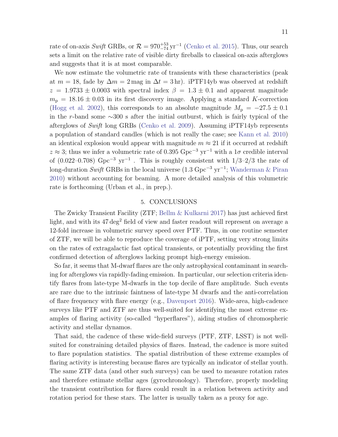rate of on-axis Swift GRBs, or  $\mathcal{R} = 970^{+53}_{-74} \text{ yr}^{-1}$  (Cenko et al. 2015). Thus, our search sets a limit on the relative rate of visible dirty fireballs to classical on-axis afterglows and suggests that it is at most comparable.

We now estimate the volumetric rate of transients with these characteristics (peak at  $m = 18$ , fade by  $\Delta m = 2$  mag in  $\Delta t = 3$  hr). iPTF14yb was observed at redshift  $z = 1.9733 \pm 0.0003$  with spectral index  $\beta = 1.3 \pm 0.1$  and apparent magnitude  $m_{\rm p} = 18.16 \pm 0.03$  in its first discovery image. Applying a standard K-correction (Hogg et al. 2002), this corresponds to an absolute magnitude  $M_{\rm p} = -27.5 \pm 0.1$ in the r-band some  $\sim$ 300 s after the initial outburst, which is fairly typical of the afterglows of Swift long GRBs (Cenko et al. 2009). Assuming iPTF14yb represents a population of standard candles (which is not really the case; see Kann et al. 2010) an identical explosion would appear with magnitude  $m \approx 21$  if it occurred at redshift  $z \approx 3$ ; thus we infer a volumetric rate of 0.395 Gpc<sup>-3</sup> yr<sup>-1</sup> with a 1σ credible interval of (0.022–0.708) Gpc<sup>-3</sup> yr<sup>-1</sup>. This is roughly consistent with  $1/3-2/3$  the rate of long-duration Swift GRBs in the local universe (1.3 Gpc<sup>-3</sup> yr<sup>-1</sup>; Wanderman & Piran 2010) without accounting for beaming. A more detailed analysis of this volumetric rate is forthcoming (Urban et al., in prep.).

#### 5. CONCLUSIONS

The Zwicky Transient Facility (ZTF; Bellm & Kulkarni 2017) has just achieved first light, and with its  $47 \text{ deg}^2$  field of view and faster readout will represent on average a 12-fold increase in volumetric survey speed over PTF. Thus, in one routine semester of ZTF, we will be able to reproduce the coverage of iPTF, setting very strong limits on the rates of extragalactic fast optical transients, or potentially providing the first confirmed detection of afterglows lacking prompt high-energy emission.

So far, it seems that M-dwarf flares are the only astrophysical contaminant in searching for afterglows via rapidly-fading emission. In particular, our selection criteria identify flares from late-type M-dwarfs in the top decile of flare amplitude. Such events are rare due to the intrinsic faintness of late-type M dwarfs and the anti-correlation of flare frequency with flare energy (e.g., Davenport 2016). Wide-area, high-cadence surveys like PTF and ZTF are thus well-suited for identifying the most extreme examples of flaring activity (so-called "hyperflares"), aiding studies of chromospheric activity and stellar dynamos.

That said, the cadence of these wide-field surveys (PTF, ZTF, LSST) is not wellsuited for constraining detailed physics of flares. Instead, the cadence is more suited to flare population statistics. The spatial distribution of these extreme examples of flaring activity is interesting because flares are typically an indicator of stellar youth. The same ZTF data (and other such surveys) can be used to measure rotation rates and therefore estimate stellar ages (gyrochronology). Therefore, properly modeling the transient contribution for flares could result in a relation between activity and rotation period for these stars. The latter is usually taken as a proxy for age.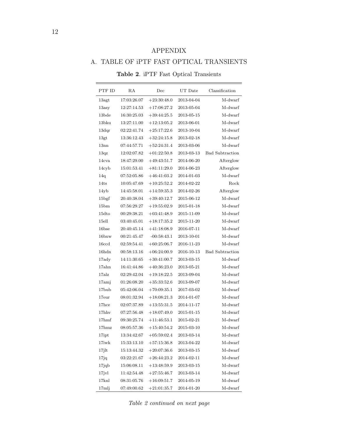## APPENDIX

# A. TABLE OF iPTF FAST OPTICAL TRANSIENTS

| PTF ID            | RA          | Dec           | $UT$ Date  | Classification         |
|-------------------|-------------|---------------|------------|------------------------|
| 13agt             | 17:03:26.07 | $+23:30:48.0$ | 2013-04-04 | M-dwarf                |
| $13\mathrm{asy}$  | 12:27:14.53 | $+17:08:27.2$ | 2013-05-04 | M-dwarf                |
| 13bde             | 16:30:25.03 | $+39:44:25.5$ | 2013-05-15 | M-dwarf                |
| 13bku             | 13:27:11.00 | $+12:13:05.2$ | 2013-06-01 | M-dwarf                |
| 13 <sub>der</sub> | 02:22:41.74 | $+25:17:22.6$ | 2013-10-04 | M-dwarf                |
| 13gt              | 13:36:12.43 | $+32:24:15.8$ | 2013-02-18 | M-dwarf                |
| 13nn              | 07:44:57.71 | $+52:24:31.4$ | 2013-03-06 | M-dwarf                |
| 13qz              | 12:02:07.82 | $+01:22:50.8$ | 2013-03-13 | <b>Bad Subtraction</b> |
| 14cva             | 18:47:29.00 | $+49:43:51.7$ | 2014-06-20 | Afterglow              |
| 14cyb             | 15:01:53.41 | $+81:11:29.0$ | 2014-06-23 | Afterglow              |
| 14q               | 07:52:05.86 | $+46:41:03.2$ | 2014-01-03 | M-dwarf                |
| 14ts              | 10:05:47.69 | $+10:25:52.2$ | 2014-02-22 | Rock                   |
| 14yb              | 14:45:58.01 | $+14:59:35.3$ | 2014-02-26 | Afterglow              |
| 15 <sub>bgf</sub> | 20:40:38.04 | $+39:40:12.7$ | 2015-06-12 | M-dwarf                |
| 15 <sub>bm</sub>  | 07:56:29.27 | $+19:55:02.9$ | 2015-01-18 | M-dwarf                |
| $15d$ to          | 00:29:38.21 | $+03:41:48.9$ | 2015-11-09 | M-dwarf                |
| 15ell             | 03:40:45.01 | $+18:17:35.2$ | 2015-11-20 | M-dwarf                |
| 16bse             | 20:40:45.14 | $+41:18:08.9$ | 2016-07-11 | M-dwarf                |
| $16b$ xw          | 00:21:45.47 | $-00:58:43.1$ | 2013-10-01 | M-dwarf                |
| 16 <sub>c</sub>   | 02:59:54.41 | $+60:25:06.7$ | 2016-11-23 | M-dwarf                |
| 16hdn             | 00:58:13.16 | $+06:24:00.9$ | 2016-10-13 | <b>Bad Subtraction</b> |
| 17 <sub>ady</sub> | 14:11:30.65 | $+30:41:00.7$ | 2013-03-15 | M-dwarf                |
| 17ahn             | 16:41:44.86 | $+40:36:23.0$ | 2013-05-21 | M-dwarf                |
| $17a$ lz          | 02:29:42.04 | $+19:18:22.5$ | 2013-09-04 | M-dwarf                |
| 17ami             | 01:26:08.20 | $+35:33:52.6$ | 2013-09-07 | M-dwarf                |
| 17 <sub>bub</sub> | 05:42:06.04 | $+70:09:35.1$ | 2017-03-02 | M-dwarf                |
| 17eur             | 08:01:32.94 | $+18:08:21.3$ | 2014-01-07 | M-dwarf                |
| $17$ hce          | 02:07:37.89 | $+13:55:31.5$ | 2014-11-17 | M-dwarf                |
| $17$ hhv          | 07:27:56.48 | $+18:07:49.0$ | 2015-01-15 | M-dwarf                |
| 17 <sub>hmf</sub> | 09:30:25.74 | $+11:46:53.1$ | 2015-02-21 | M-dwarf                |
| $17h$ mz          | 08:05:57.36 | $+15:40:54.2$ | 2015-03-10 | M-dwarf                |
| $17\mathrm{ipt}$  | 13:34:42.67 | $+05:59:02.4$ | 2013-03-14 | M-dwarf                |
| 17iwk             | 15:33:13.10 | $+57:15:36.8$ | 2013-04-22 | M-dwarf                |
| $17$ jlt          | 15:13:44.32 | $+20:07:36.6$ | 2013-03-15 | M-dwarf                |
| 17jq              | 03:22:21.67 | $+26:44:23.2$ | 2014-02-11 | M-dwarf                |
| $17$ jqb          | 15:06:08.11 | $+13:48:59.9$ | 2013-03-15 | M-dwarf                |
| $17$ jvl          | 11:42:54.48 | $+27:55:46.7$ | 2013-03-14 | M-dwarf                |
| 17knl             | 08:31:05.76 | $+16:09:51.7$ | 2014-05-19 | M-dwarf                |
| 17mlj             | 07:49:00.62 | $+21:01:35.7$ | 2014-01-20 | M-dwarf                |

Table 2. iPTF Fast Optical Transients

Table 2 continued on next page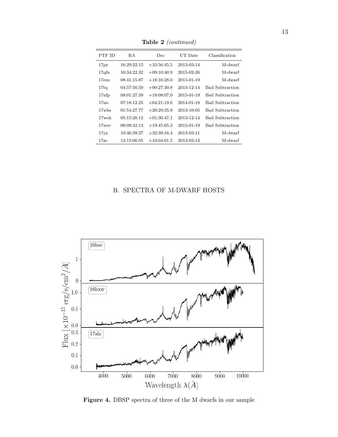| PTF ID           | R.A         | Dec           | UT Date    | Classification  |
|------------------|-------------|---------------|------------|-----------------|
| 17py             | 16:29:22.15 | $+33:56:45.5$ | 2013-03-14 | M-dwarf         |
| 17qfn            | 10:34:22.32 | $+09:10:40.9$ | 2015-02-26 | M-dwarf         |
| 17rzn            | 08:41:15.87 | $+18:16:28.0$ | 2015-01-19 | M-dwarf         |
| 17tq             | 04:57:50.59 | $+00:27:30.8$ | 2013-12-14 | Bad Subtraction |
| $17$ ufp         | 08:01:27.39 | $+18:08:07.0$ | 2015-01-19 | Bad Subtraction |
| 17 <sub>11</sub> | 07:18:12.25 | $+64:21:19.6$ | 2014-01-18 | Bad Subtraction |
| 17whs            | 01:54:27.77 | $+20:29:35.9$ | 2013-10-05 | Bad Subtraction |
| $17$ wok         | 05:15:28.12 | $+01:30:47.1$ | 2013-12-14 | Bad Subtraction |
| $17$ ws v        | 08:09:42.13 | $+19:45:05.3$ | 2015-01-19 | Bad Subtraction |
| 17yz             | 10:46:39.27 | $+32:39:16.4$ | 2013-03-11 | M-dwarf         |
| $17$ ze          | 13:15:06.05 | $+43:04:01.5$ | 2013-03-12 | M-dwarf         |

Table 2 (continued)

# B. SPECTRA OF M-DWARF HOSTS



Figure 4. DBSP spectra of three of the M dwarfs in our sample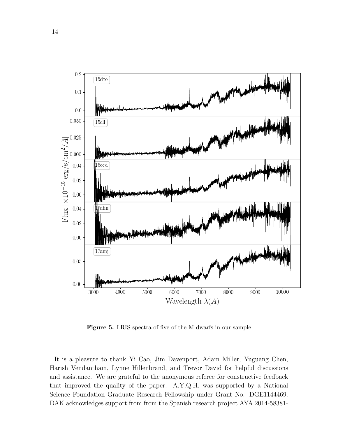

Figure 5. LRIS spectra of five of the M dwarfs in our sample

It is a pleasure to thank Yi Cao, Jim Davenport, Adam Miller, Yuguang Chen, Harish Vendantham, Lynne Hillenbrand, and Trevor David for helpful discussions and assistance. We are grateful to the anonymous referee for constructive feedback that improved the quality of the paper. A.Y.Q.H. was supported by a National Science Foundation Graduate Research Fellowship under Grant No. DGE1144469. DAK acknowledges support from from the Spanish research project AYA 2014-58381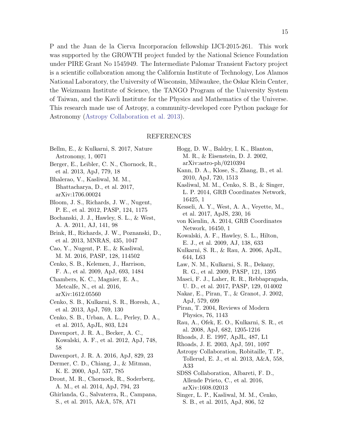P and the Juan de la Cierva Incorporacion fellowship IJCI-2015-261. This work was supported by the GROWTH project funded by the National Science Foundation under PIRE Grant No 1545949. The Intermediate Palomar Transient Factory project is a scientific collaboration among the California Institute of Technology, Los Alamos National Laboratory, the University of Wisconsin, Milwaukee, the Oskar Klein Center, the Weizmann Institute of Science, the TANGO Program of the University System of Taiwan, and the Kavli Institute for the Physics and Mathematics of the Universe. This research made use of Astropy, a community-developed core Python package for Astronomy (Astropy Collaboration et al. 2013).

#### REFERENCES

- Bellm, E., & Kulkarni, S. 2017, Nature Astronomy, 1, 0071
- Berger, E., Leibler, C. N., Chornock, R., et al. 2013, ApJ, 779, 18
- Bhalerao, V., Kasliwal, M. M., Bhattacharya, D., et al. 2017, arXiv:1706.00024
- Bloom, J. S., Richards, J. W., Nugent, P. E., et al. 2012, PASP, 124, 1175
- Bochanski, J. J., Hawley, S. L., & West, A. A. 2011, AJ, 141, 98
- Brink, H., Richards, J. W., Poznanski, D., et al. 2013, MNRAS, 435, 1047
- Cao, Y., Nugent, P. E., & Kasliwal, M. M. 2016, PASP, 128, 114502
- Cenko, S. B., Kelemen, J., Harrison, F. A., et al. 2009, ApJ, 693, 1484
- Chambers, K. C., Magnier, E. A., Metcalfe, N., et al. 2016, arXiv:1612.05560
- Cenko, S. B., Kulkarni, S. R., Horesh, A., et al. 2013, ApJ, 769, 130
- Cenko, S. B., Urban, A. L., Perley, D. A., et al. 2015, ApJL, 803, L24
- Davenport, J. R. A., Becker, A. C., Kowalski, A. F., et al. 2012, ApJ, 748, 58
- Davenport, J. R. A. 2016, ApJ, 829, 23
- Dermer, C. D., Chiang, J., & Mitman, K. E. 2000, ApJ, 537, 785
- Drout, M. R., Chornock, R., Soderberg, A. M., et al. 2014, ApJ, 794, 23
- Ghirlanda, G., Salvaterra, R., Campana, S., et al. 2015, A&A, 578, A71
- Hogg, D. W., Baldry, I. K., Blanton, M. R., & Eisenstein, D. J. 2002, arXiv:astro-ph/0210394
- Kann, D. A., Klose, S., Zhang, B., et al. 2010, ApJ, 720, 1513
- Kasliwal, M. M., Cenko, S. B., & Singer, L. P. 2014, GRB Coordinates Network, 16425, 1
- Kesseli, A. Y., West, A. A., Veyette, M., et al. 2017, ApJS, 230, 16
- von Kienlin, A. 2014, GRB Coordinates Network, 16450, 1
- Kowalski, A. F., Hawley, S. L., Hilton, E. J., et al. 2009, AJ, 138, 633
- Kulkarni, S. R., & Rau, A. 2006, ApJL, 644, L63
- Law, N. M., Kulkarni, S. R., Dekany, R. G., et al. 2009, PASP, 121, 1395
- Masci, F. J., Laher, R. R., Rebbapragada, U. D., et al. 2017, PASP, 129, 014002
- Nakar, E., Piran, T., & Granot, J. 2002, ApJ, 579, 699
- Piran, T. 2004, Reviews of Modern Physics, 76, 1143
- Rau, A., Ofek, E. O., Kulkarni, S. R., et al. 2008, ApJ, 682, 1205-1216
- Rhoads, J. E. 1997, ApJL, 487, L1
- Rhoads, J. E. 2003, ApJ, 591, 1097
- Astropy Collaboration, Robitaille, T. P., Tollerud, E. J., et al. 2013, A&A, 558, A33
- SDSS Collaboration, Albareti, F. D., Allende Prieto, C., et al. 2016, arXiv:1608.02013
- Singer, L. P., Kasliwal, M. M., Cenko, S. B., et al. 2015, ApJ, 806, 52